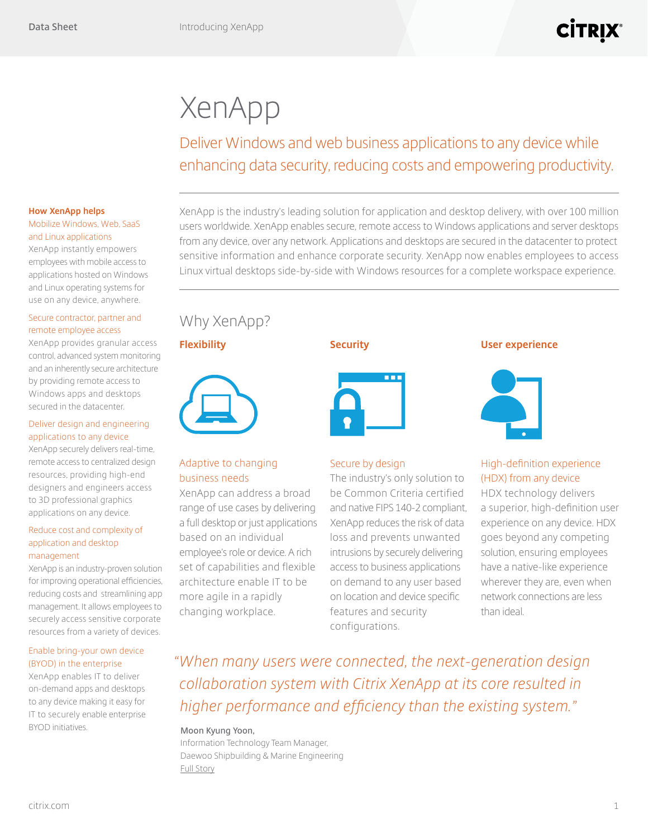# XenApp

Deliver Windows and web business applications to any device while enhancing data security, reducing costs and empowering productivity.

#### **How XenApp helps** Mobilize Windows, Web, SaaS

# and Linux applications

XenApp instantly empowers employees with mobile access to applications hosted on Windows and Linux operating systems for use on any device, anywhere.

#### Secure contractor, partner and remote employee access

XenApp provides granular access control, advanced system monitoring and an inherently secure architecture by providing remote access to Windows apps and desktops secured in the datacenter.

#### Deliver design and engineering applications to any device

XenApp securely delivers real-time, remote access to centralized design resources, providing high-end designers and engineers access to 3D professional graphics applications on any device.

#### Reduce cost and complexity of application and desktop management

XenApp is an industry-proven solution for improving operational efficiencies, reducing costs and streamlining app management. It allows employees to securely access sensitive corporate resources from a variety of devices.

#### Enable bring-your own device (BYOD) in the enterprise

XenApp enables IT to deliver on-demand apps and desktops to any device making it easy for IT to securely enable enterprise BYOD initiatives.

XenApp is the industry's leading solution for application and desktop delivery, with over 100 million users worldwide. XenApp enables secure, remote access to Windows applications and server desktops from any device, over any network. Applications and desktops are secured in the datacenter to protect sensitive information and enhance corporate security. XenApp now enables employees to access Linux virtual desktops side-by-side with Windows resources for a complete workspace experience.

## Why XenApp?

**Flexibility**



### Adaptive to changing business needs

XenApp can address a broad range of use cases by delivering a full desktop or just applications based on an individual employee's role or device. A rich set of capabilities and flexible architecture enable IT to be more agile in a rapidly changing workplace.

### **Security**



### Secure by design

The industry's only solution to be Common Criteria certified and native FIPS 140-2 compliant, XenApp reduces the risk of data loss and prevents unwanted intrusions by securely delivering access to business applications on demand to any user based on location and device specific features and security configurations.

#### **User experience**



### High-definition experience (HDX) from any device

HDX technology delivers a superior, high-definition user experience on any device. HDX goes beyond any competing solution, ensuring employees have a native-like experience wherever they are, even when network connections are less than ideal.

*"When many users were connected, the next-generation design collaboration system with Citrix XenApp at its core resulted in higher performance and efficiency than the existing system."*

#### **Moon Kyung Yoon,**

Information Technology Team Manager, Daewoo Shipbuilding & Marine Engineering [Full Story](https://www.citrix.com/customers/daewoo-shipbuilding-and-marine-engineering-en.html)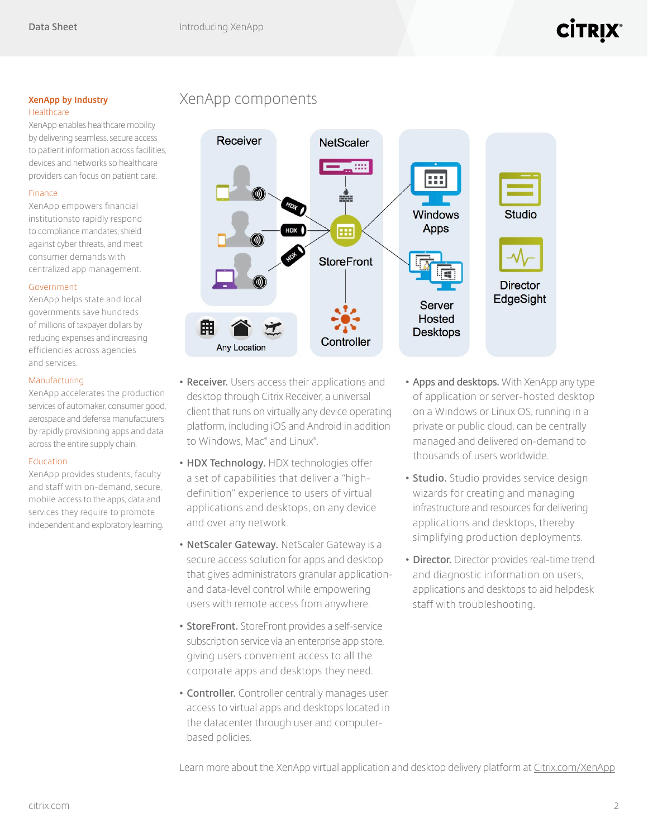**XenApp by Industry** XenApp components

XenApp enables healthcare mobility by delivering seamless, secure access to patient information across facilities, devices and networks so healthcare providers can focus on patient care.

XenApp empowers financial institutionsto rapidly respond to compliance mandates, shield against cyber threats, and meet consumer demands with centralized app management.

XenApp helps state and local governments save hundreds of millions of taxpayer dollars by reducing expenses and increasing efficiencies across agencies and services.

XenApp accelerates the production services of automaker, consumer good, aerospace and defense manufacturers by rapidly provisioning apps and data across the entire supply chain.

XenApp provides students, faculty and staff with on-demand, secure, mobile access to the apps, data and services they require to promote independent and exploratory learning. **• Receiver.** Users access their applications and desktop through Citrix Receiver, a universal client that runs on virtually any device operating platform, including iOS and Android in addition to Windows, Mac® and Linux® .

- **• HDX Technology.** HDX technologies offer a set of capabilities that deliver a "highdefinition" experience to users of virtual applications and desktops, on any device and over any network.
- **• NetScaler Gateway.** NetScaler Gateway is a secure access solution for apps and desktop that gives administrators granular applicationand data-level control while empowering users with remote access from anywhere.
- **• StoreFront.** StoreFront provides a self-service subscription service via an enterprise app store, giving users convenient access to all the corporate apps and desktops they need.
- **• Controller.** Controller centrally manages user access to virtual apps and desktops located in the datacenter through user and computerbased policies.
- **• Apps and desktops.** With XenApp any type of application or server-hosted desktop on a Windows or Linux OS, running in a private or public cloud, can be centrally managed and delivered on-demand to thousands of users worldwide.
- **• Studio.** Studio provides service design wizards for creating and managing infrastructure and resources for delivering applications and desktops, thereby simplifying production deployments.
- **• Director.** Director provides real-time trend and diagnostic information on users, applications and desktops to aid helpdesk staff with troubleshooting.

Learn more about the XenApp virtual application and desktop delivery platform at [Citrix.com/XenApp](http://www.citrix.com/products/xenapp/overview.html)